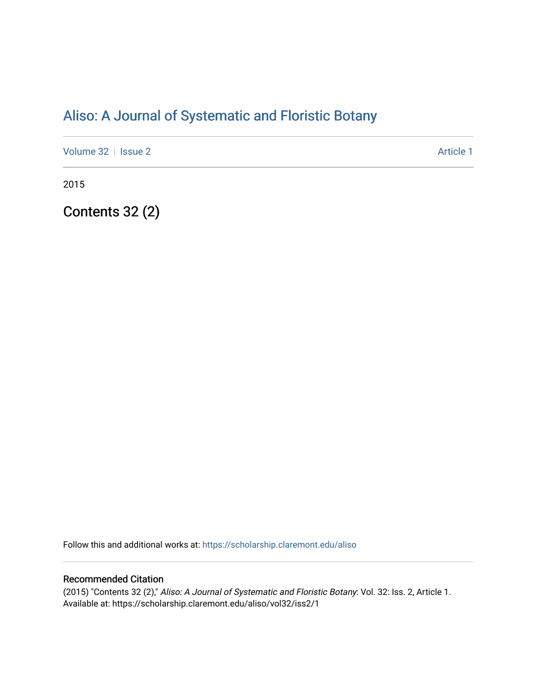# [Aliso: A Journal of Systematic and Floristic Botany](https://scholarship.claremont.edu/aliso)

[Volume 32](https://scholarship.claremont.edu/aliso/vol32) | [Issue 2](https://scholarship.claremont.edu/aliso/vol32/iss2) Article 1

2015

Contents 32 (2)

Follow this and additional works at: [https://scholarship.claremont.edu/aliso](https://scholarship.claremont.edu/aliso?utm_source=scholarship.claremont.edu%2Faliso%2Fvol32%2Fiss2%2F1&utm_medium=PDF&utm_campaign=PDFCoverPages) 

### Recommended Citation

(2015) "Contents 32 (2)," Aliso: A Journal of Systematic and Floristic Botany: Vol. 32: Iss. 2, Article 1. Available at: https://scholarship.claremont.edu/aliso/vol32/iss2/1